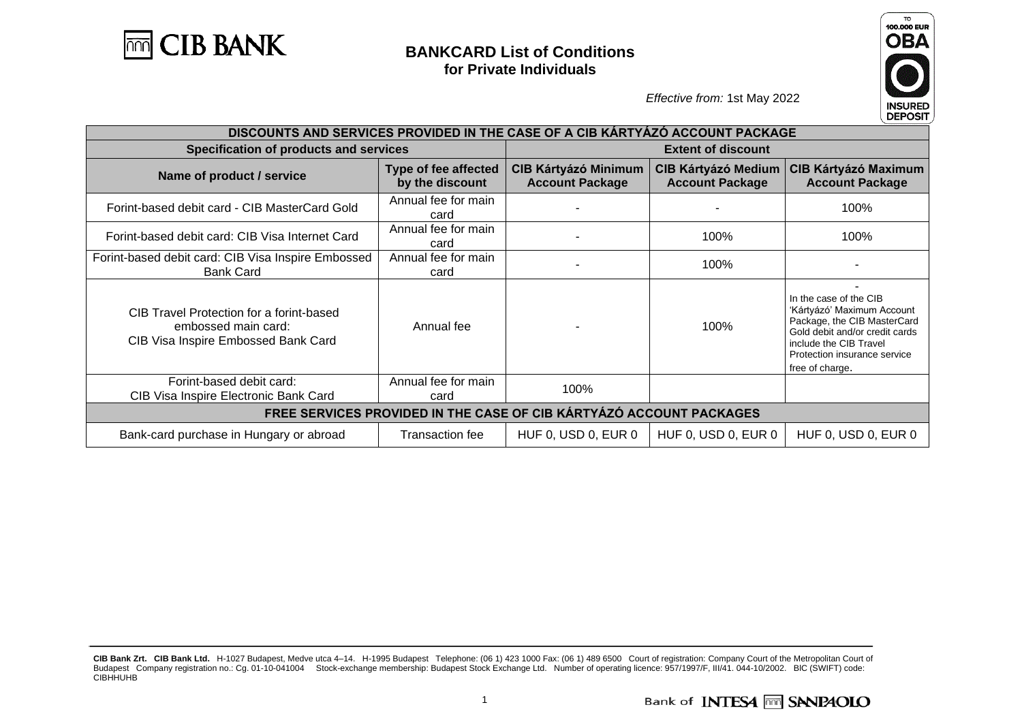



| DISCOUNTS AND SERVICES PROVIDED IN THE CASE OF A CIB KARTYAZO ACCOUNT PACKAGE                          |                                         |                                                                                                               |                     |                                                                                                                                                                                                    |
|--------------------------------------------------------------------------------------------------------|-----------------------------------------|---------------------------------------------------------------------------------------------------------------|---------------------|----------------------------------------------------------------------------------------------------------------------------------------------------------------------------------------------------|
| Specification of products and services                                                                 | <b>Extent of discount</b>               |                                                                                                               |                     |                                                                                                                                                                                                    |
| Name of product / service                                                                              | Type of fee affected<br>by the discount | <b>CIB Kártyázó Medium</b><br><b>CIB Kártyázó Minimum</b><br><b>Account Package</b><br><b>Account Package</b> |                     | <b>CIB Kártyázó Maximum</b><br><b>Account Package</b>                                                                                                                                              |
| Forint-based debit card - CIB MasterCard Gold                                                          | Annual fee for main<br>card             |                                                                                                               |                     | 100%                                                                                                                                                                                               |
| Forint-based debit card: CIB Visa Internet Card                                                        | Annual fee for main<br>card             |                                                                                                               | 100%                | 100%                                                                                                                                                                                               |
| Forint-based debit card: CIB Visa Inspire Embossed<br><b>Bank Card</b>                                 | Annual fee for main<br>card             |                                                                                                               | 100%                |                                                                                                                                                                                                    |
| CIB Travel Protection for a forint-based<br>embossed main card:<br>CIB Visa Inspire Embossed Bank Card | Annual fee                              |                                                                                                               | 100%                | In the case of the CIB<br>'Kártyázó' Maximum Account<br>Package, the CIB MasterCard<br>Gold debit and/or credit cards<br>include the CIB Travel<br>Protection insurance service<br>free of charge. |
| Forint-based debit card:<br>CIB Visa Inspire Electronic Bank Card                                      | Annual fee for main<br>card             | 100%                                                                                                          |                     |                                                                                                                                                                                                    |
| FREE SERVICES PROVIDED IN THE CASE OF CIB KÁRTYÁZÓ ACCOUNT PACKAGES                                    |                                         |                                                                                                               |                     |                                                                                                                                                                                                    |
| Bank-card purchase in Hungary or abroad                                                                | Transaction fee                         | HUF 0, USD 0, EUR 0                                                                                           | HUF 0, USD 0, EUR 0 | HUF 0, USD 0, EUR 0                                                                                                                                                                                |

**CIB Bank Zrt. CIB Bank Ltd.** H-1027 Budapest, Medve utca 4–14. H-1995 Budapest Telephone: (06 1) 423 1000 Fax: (06 1) 489 6500 Court of registration: Company Court of the Metropolitan Court of Budapest Company registration no.: Cg. 01-10-041004 Stock-exchange membership: Budapest Stock Exchange Ltd. Number of operating licence: 957/1997/F, III/41. 044-10/2002. BIC (SWIFT) code: CIBHHUHB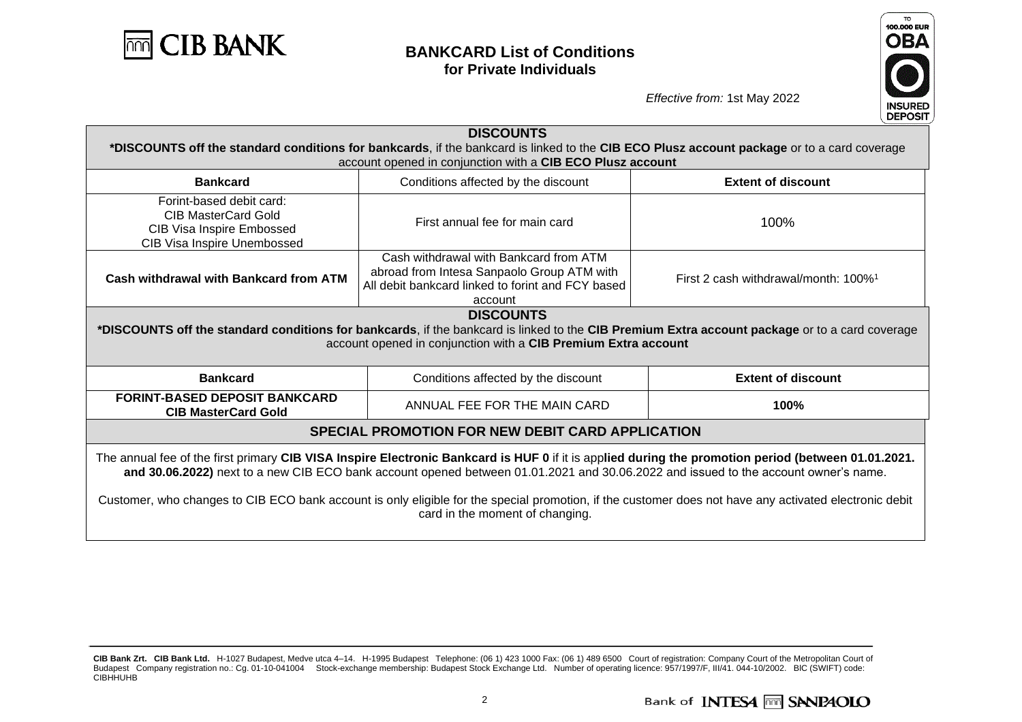



| <b>DISCOUNTS</b><br>*DISCOUNTS off the standard conditions for bankcards, if the bankcard is linked to the CIB ECO Plusz account package or to a card coverage<br>account opened in conjunction with a CIB ECO Plusz account                                                                                                                                                                                                                                                            |                                                                                                                                                      |                                                                                                                                                |  |  |
|-----------------------------------------------------------------------------------------------------------------------------------------------------------------------------------------------------------------------------------------------------------------------------------------------------------------------------------------------------------------------------------------------------------------------------------------------------------------------------------------|------------------------------------------------------------------------------------------------------------------------------------------------------|------------------------------------------------------------------------------------------------------------------------------------------------|--|--|
| <b>Bankcard</b>                                                                                                                                                                                                                                                                                                                                                                                                                                                                         | Conditions affected by the discount                                                                                                                  | <b>Extent of discount</b>                                                                                                                      |  |  |
| Forint-based debit card:<br><b>CIB MasterCard Gold</b><br>CIB Visa Inspire Embossed<br>CIB Visa Inspire Unembossed                                                                                                                                                                                                                                                                                                                                                                      | First annual fee for main card                                                                                                                       | 100%                                                                                                                                           |  |  |
| <b>Cash withdrawal with Bankcard from ATM</b>                                                                                                                                                                                                                                                                                                                                                                                                                                           | Cash withdrawal with Bankcard from ATM<br>abroad from Intesa Sanpaolo Group ATM with<br>All debit bankcard linked to forint and FCY based<br>account | First 2 cash withdrawal/month: 100% <sup>1</sup>                                                                                               |  |  |
|                                                                                                                                                                                                                                                                                                                                                                                                                                                                                         | <b>DISCOUNTS</b><br>account opened in conjunction with a CIB Premium Extra account                                                                   | *DISCOUNTS off the standard conditions for bankcards, if the bankcard is linked to the CIB Premium Extra account package or to a card coverage |  |  |
| <b>Bankcard</b>                                                                                                                                                                                                                                                                                                                                                                                                                                                                         | Conditions affected by the discount                                                                                                                  | <b>Extent of discount</b>                                                                                                                      |  |  |
| <b>FORINT-BASED DEPOSIT BANKCARD</b><br><b>CIB MasterCard Gold</b>                                                                                                                                                                                                                                                                                                                                                                                                                      | ANNUAL FEE FOR THE MAIN CARD                                                                                                                         | 100%                                                                                                                                           |  |  |
| <b>SPECIAL PROMOTION FOR NEW DEBIT CARD APPLICATION</b>                                                                                                                                                                                                                                                                                                                                                                                                                                 |                                                                                                                                                      |                                                                                                                                                |  |  |
| The annual fee of the first primary CIB VISA Inspire Electronic Bankcard is HUF 0 if it is applied during the promotion period (between 01.01.2021.<br>and 30.06.2022) next to a new CIB ECO bank account opened between 01.01.2021 and 30.06.2022 and issued to the account owner's name.<br>Customer, who changes to CIB ECO bank account is only eligible for the special promotion, if the customer does not have any activated electronic debit<br>card in the moment of changing. |                                                                                                                                                      |                                                                                                                                                |  |  |

**CIB Bank Zrt. CIB Bank Ltd.** H-1027 Budapest, Medve utca 4–14. H-1995 Budapest Telephone: (06 1) 423 1000 Fax: (06 1) 489 6500 Court of registration: Company Court of the Metropolitan Court of Budapest Company registration no.: Cg. 01-10-041004 Stock-exchange membership: Budapest Stock Exchange Ltd. Number of operating licence: 957/1997/F, III/41. 044-10/2002. BIC (SWIFT) code: CIBHHUHB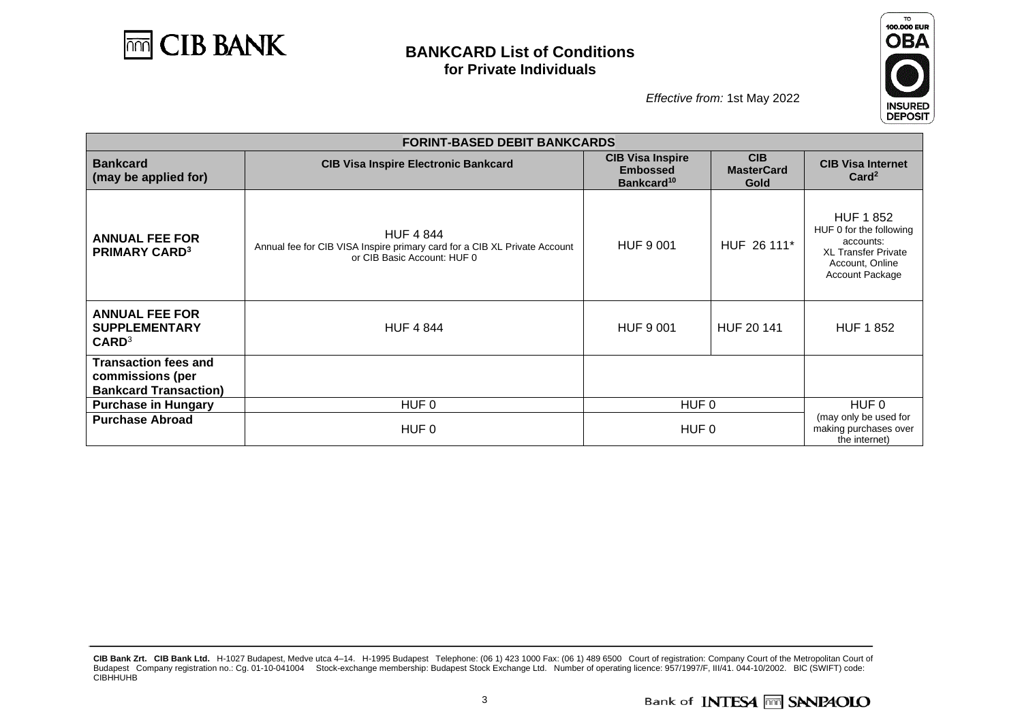



|                                                                                 | <b>FORINT-BASED DEBIT BANKCARDS</b>                                                                                          |                                                                      |                                         |                                                                                                                             |  |  |
|---------------------------------------------------------------------------------|------------------------------------------------------------------------------------------------------------------------------|----------------------------------------------------------------------|-----------------------------------------|-----------------------------------------------------------------------------------------------------------------------------|--|--|
| <b>Bankcard</b><br>(may be applied for)                                         | <b>CIB Visa Inspire Electronic Bankcard</b>                                                                                  | <b>CIB Visa Inspire</b><br><b>Embossed</b><br>Bankcard <sup>10</sup> | <b>CIB</b><br><b>MasterCard</b><br>Gold | <b>CIB Visa Internet</b><br>Card <sup>2</sup>                                                                               |  |  |
| <b>ANNUAL FEE FOR</b><br><b>PRIMARY CARD3</b>                                   | <b>HUF 4 844</b><br>Annual fee for CIB VISA Inspire primary card for a CIB XL Private Account<br>or CIB Basic Account: HUF 0 | <b>HUF 9 001</b>                                                     | HUF 26 111*                             | <b>HUF 1852</b><br>HUF 0 for the following<br>accounts:<br><b>XL Transfer Private</b><br>Account, Online<br>Account Package |  |  |
| <b>ANNUAL FEE FOR</b><br><b>SUPPLEMENTARY</b><br>CARD <sup>3</sup>              | <b>HUF 4 844</b>                                                                                                             | <b>HUF 9 001</b>                                                     | HUF 20 141                              | <b>HUF 1 852</b>                                                                                                            |  |  |
| <b>Transaction fees and</b><br>commissions (per<br><b>Bankcard Transaction)</b> |                                                                                                                              |                                                                      |                                         |                                                                                                                             |  |  |
| <b>Purchase in Hungary</b>                                                      | HUF 0                                                                                                                        | HUF 0                                                                |                                         | HUF 0                                                                                                                       |  |  |
| <b>Purchase Abroad</b>                                                          | HUF 0                                                                                                                        | HUF 0                                                                |                                         | (may only be used for<br>making purchases over<br>the internet)                                                             |  |  |

**CIB Bank Zrt. CIB Bank Ltd.** H-1027 Budapest, Medve utca 4–14. H-1995 Budapest Telephone: (06 1) 423 1000 Fax: (06 1) 489 6500 Court of registration: Company Court of the Metropolitan Court of Budapest Company registration no.: Cg. 01-10-041004 Stock-exchange membership: Budapest Stock Exchange Ltd. Number of operating licence: 957/1997/F, III/41. 044-10/2002. BIC (SWIFT) code: CIBHHUHB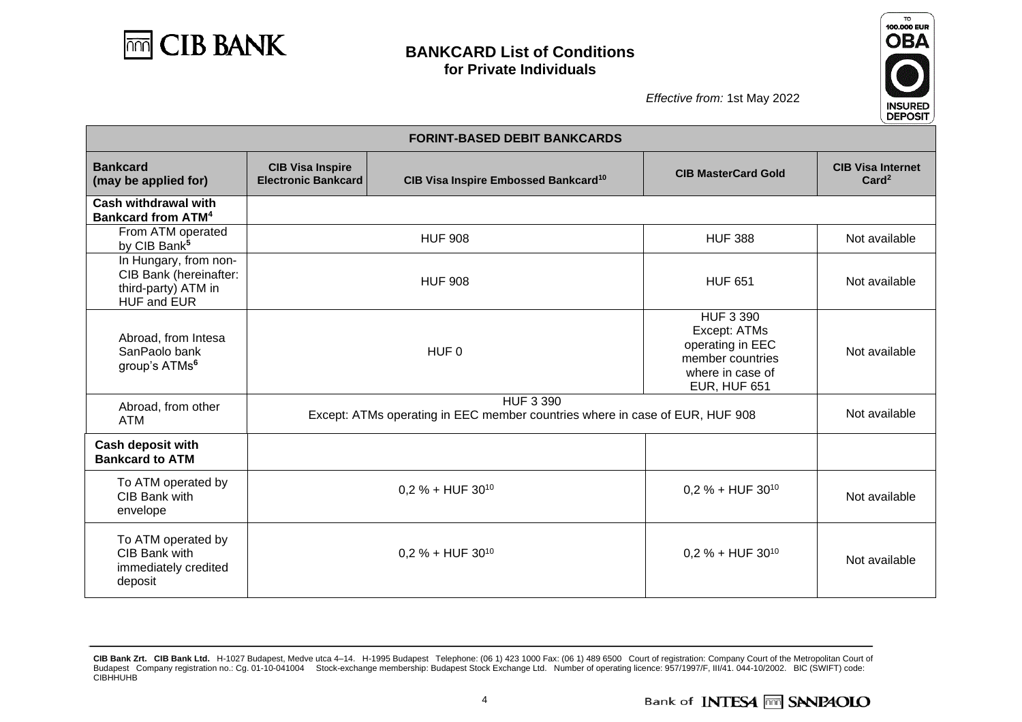



| <b>FORINT-BASED DEBIT BANKCARDS</b>                                                   |                                                       |                                                                                                  |                                                                                                                     |                                               |
|---------------------------------------------------------------------------------------|-------------------------------------------------------|--------------------------------------------------------------------------------------------------|---------------------------------------------------------------------------------------------------------------------|-----------------------------------------------|
| <b>Bankcard</b><br>(may be applied for)                                               | <b>CIB Visa Inspire</b><br><b>Electronic Bankcard</b> | CIB Visa Inspire Embossed Bankcard <sup>10</sup>                                                 | <b>CIB MasterCard Gold</b>                                                                                          | <b>CIB Visa Internet</b><br>Card <sup>2</sup> |
| Cash withdrawal with<br><b>Bankcard from ATM<sup>4</sup></b>                          |                                                       |                                                                                                  |                                                                                                                     |                                               |
| From ATM operated<br>by CIB Bank <sup>5</sup>                                         |                                                       | <b>HUF 908</b>                                                                                   | <b>HUF 388</b>                                                                                                      | Not available                                 |
| In Hungary, from non-<br>CIB Bank (hereinafter:<br>third-party) ATM in<br>HUF and EUR |                                                       | <b>HUF 908</b>                                                                                   | <b>HUF 651</b>                                                                                                      | Not available                                 |
| Abroad, from Intesa<br>SanPaolo bank<br>group's ATMs <sup>6</sup>                     |                                                       | HUF <sub>0</sub>                                                                                 | <b>HUF 3 390</b><br>Except: ATMs<br>operating in EEC<br>member countries<br>where in case of<br><b>EUR, HUF 651</b> | Not available                                 |
| Abroad, from other<br><b>ATM</b>                                                      |                                                       | <b>HUF 3 390</b><br>Except: ATMs operating in EEC member countries where in case of EUR, HUF 908 |                                                                                                                     |                                               |
| <b>Cash deposit with</b><br><b>Bankcard to ATM</b>                                    |                                                       |                                                                                                  |                                                                                                                     |                                               |
| To ATM operated by<br>CIB Bank with<br>envelope                                       |                                                       | $0.2$ % + HUF 30 <sup>10</sup>                                                                   | $0,2% + HUF 3010$                                                                                                   | Not available                                 |
| To ATM operated by<br>CIB Bank with<br>immediately credited<br>deposit                |                                                       | $0.2$ % + HUF 30 <sup>10</sup>                                                                   | $0.2 % + HUF 3010$                                                                                                  | Not available                                 |

**CIB Bank Zrt. CIB Bank Ltd.** H-1027 Budapest, Medve utca 4–14. H-1995 Budapest Telephone: (06 1) 423 1000 Fax: (06 1) 489 6500 Court of registration: Company Court of the Metropolitan Court of Budapest Company registration no.: Cg. 01-10-041004 Stock-exchange membership: Budapest Stock Exchange Ltd. Number of operating licence: 957/1997/F, III/41. 044-10/2002. BIC (SWIFT) code: CIBHHUHB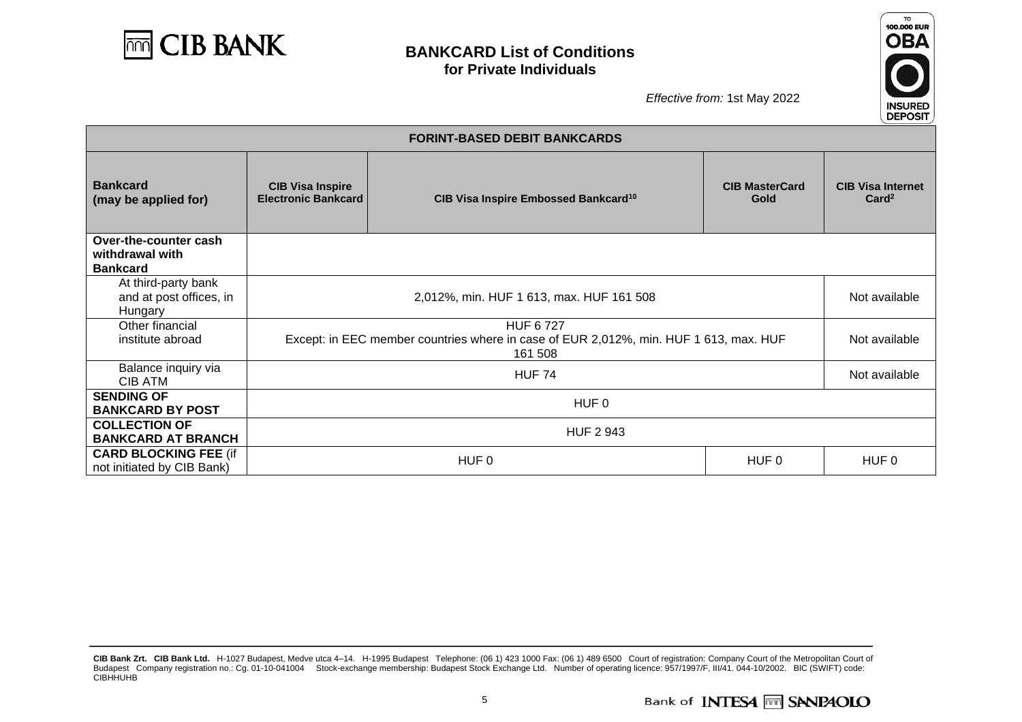



|                                                             | <b>FORINT-BASED DEBIT BANKCARDS</b>                                                                                 |                                                  |                               |                                               |  |
|-------------------------------------------------------------|---------------------------------------------------------------------------------------------------------------------|--------------------------------------------------|-------------------------------|-----------------------------------------------|--|
| <b>Bankcard</b><br>(may be applied for)                     | <b>CIB Visa Inspire</b><br><b>Electronic Bankcard</b>                                                               | CIB Visa Inspire Embossed Bankcard <sup>10</sup> | <b>CIB MasterCard</b><br>Gold | <b>CIB Visa Internet</b><br>Card <sup>2</sup> |  |
| Over-the-counter cash<br>withdrawal with<br><b>Bankcard</b> |                                                                                                                     |                                                  |                               |                                               |  |
| At third-party bank<br>and at post offices, in<br>Hungary   | 2,012%, min. HUF 1 613, max. HUF 161 508                                                                            |                                                  |                               | Not available                                 |  |
| Other financial<br>institute abroad                         | <b>HUF 6727</b><br>Except: in EEC member countries where in case of EUR 2,012%, min. HUF 1 613, max. HUF<br>161 508 |                                                  |                               | Not available                                 |  |
| Balance inquiry via<br><b>CIB ATM</b>                       | <b>HUF 74</b>                                                                                                       |                                                  |                               | Not available                                 |  |
| <b>SENDING OF</b><br><b>BANKCARD BY POST</b>                | HUF 0                                                                                                               |                                                  |                               |                                               |  |
| <b>COLLECTION OF</b><br><b>BANKCARD AT BRANCH</b>           | <b>HUF 2 943</b>                                                                                                    |                                                  |                               |                                               |  |
| <b>CARD BLOCKING FEE (if</b><br>not initiated by CIB Bank)  |                                                                                                                     | HUF 0                                            | HUF 0                         | HUF 0                                         |  |

**CIB Bank Zrt. CIB Bank Ltd.** H-1027 Budapest, Medve utca 4–14. H-1995 Budapest Telephone: (06 1) 423 1000 Fax: (06 1) 489 6500 Court of registration: Company Court of the Metropolitan Court of Budapest Company registration no.: Cg. 01-10-041004 Stock-exchange membership: Budapest Stock Exchange Ltd. Number of operating licence: 957/1997/F, III/41. 044-10/2002. BIC (SWIFT) code: CIBHHUHB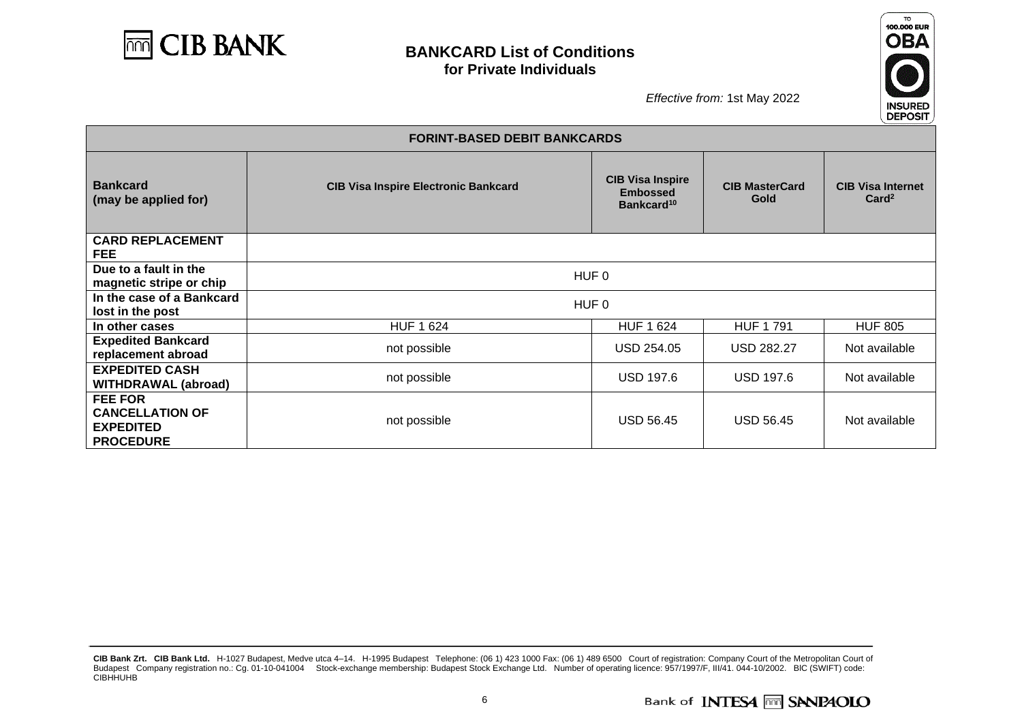



|                                                                                  | <b>FORINT-BASED DEBIT BANKCARDS</b>         |                                                                      |                                      |                                               |  |  |
|----------------------------------------------------------------------------------|---------------------------------------------|----------------------------------------------------------------------|--------------------------------------|-----------------------------------------------|--|--|
| <b>Bankcard</b><br>(may be applied for)                                          | <b>CIB Visa Inspire Electronic Bankcard</b> | <b>CIB Visa Inspire</b><br><b>Embossed</b><br>Bankcard <sup>10</sup> | <b>CIB MasterCard</b><br><b>Gold</b> | <b>CIB Visa Internet</b><br>Card <sup>2</sup> |  |  |
| <b>CARD REPLACEMENT</b><br><b>FEE</b>                                            |                                             |                                                                      |                                      |                                               |  |  |
| Due to a fault in the<br>magnetic stripe or chip                                 |                                             | HUF <sub>0</sub>                                                     |                                      |                                               |  |  |
| In the case of a Bankcard<br>lost in the post                                    |                                             | HUF 0                                                                |                                      |                                               |  |  |
| In other cases                                                                   | <b>HUF 1 624</b>                            | <b>HUF 1 624</b>                                                     | <b>HUF 1791</b>                      | <b>HUF 805</b>                                |  |  |
| <b>Expedited Bankcard</b><br>replacement abroad                                  | not possible                                | USD 254.05                                                           | <b>USD 282.27</b>                    | Not available                                 |  |  |
| <b>EXPEDITED CASH</b><br><b>WITHDRAWAL (abroad)</b>                              | not possible                                | <b>USD 197.6</b>                                                     | <b>USD 197.6</b>                     | Not available                                 |  |  |
| <b>FEE FOR</b><br><b>CANCELLATION OF</b><br><b>EXPEDITED</b><br><b>PROCEDURE</b> | not possible                                | <b>USD 56.45</b>                                                     | <b>USD 56.45</b>                     | Not available                                 |  |  |

**CIB Bank Zrt. CIB Bank Ltd.** H-1027 Budapest, Medve utca 4–14. H-1995 Budapest Telephone: (06 1) 423 1000 Fax: (06 1) 489 6500 Court of registration: Company Court of the Metropolitan Court of Budapest Company registration no.: Cg. 01-10-041004 Stock-exchange membership: Budapest Stock Exchange Ltd. Number of operating licence: 957/1997/F, III/41. 044-10/2002. BIC (SWIFT) code: CIBHHUHB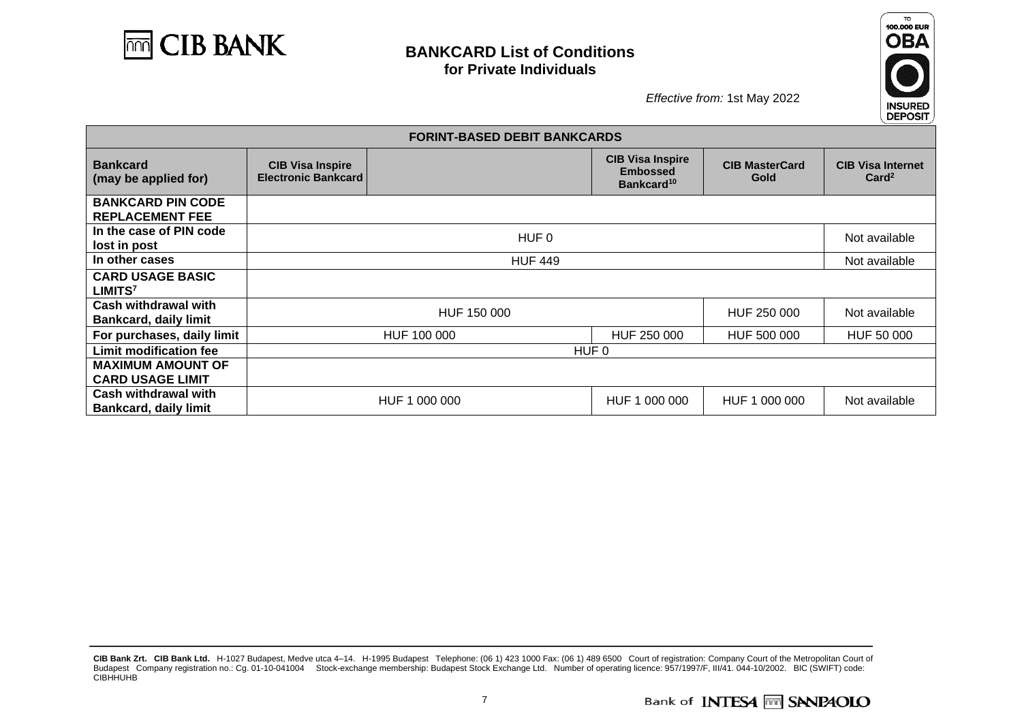



|                                                      |                                                       | <b>FORINT-BASED DEBIT BANKCARDS</b> |                                                                      |                               |                                               |
|------------------------------------------------------|-------------------------------------------------------|-------------------------------------|----------------------------------------------------------------------|-------------------------------|-----------------------------------------------|
| <b>Bankcard</b><br>(may be applied for)              | <b>CIB Visa Inspire</b><br><b>Electronic Bankcard</b> |                                     | <b>CIB Visa Inspire</b><br><b>Embossed</b><br>Bankcard <sup>10</sup> | <b>CIB MasterCard</b><br>Gold | <b>CIB Visa Internet</b><br>Card <sup>2</sup> |
| <b>BANKCARD PIN CODE</b><br><b>REPLACEMENT FEE</b>   |                                                       |                                     |                                                                      |                               |                                               |
| In the case of PIN code<br>lost in post              |                                                       | HUF 0                               |                                                                      |                               | Not available                                 |
| In other cases                                       |                                                       | <b>HUF 449</b>                      |                                                                      |                               | Not available                                 |
| <b>CARD USAGE BASIC</b><br>LIMITS <sup>7</sup>       |                                                       |                                     |                                                                      |                               |                                               |
| Cash withdrawal with<br><b>Bankcard, daily limit</b> |                                                       | HUF 150 000                         |                                                                      | HUF 250 000                   | Not available                                 |
| For purchases, daily limit                           |                                                       | HUF 100 000                         | HUF 250 000                                                          | HUF 500 000                   | HUF 50 000                                    |
| <b>Limit modification fee</b>                        | HUF 0                                                 |                                     |                                                                      |                               |                                               |
| <b>MAXIMUM AMOUNT OF</b><br><b>CARD USAGE LIMIT</b>  |                                                       |                                     |                                                                      |                               |                                               |
| Cash withdrawal with<br><b>Bankcard, daily limit</b> |                                                       | HUF 1 000 000                       | HUF 1 000 000                                                        | HUF 1 000 000                 | Not available                                 |

**CIB Bank Zrt. CIB Bank Ltd.** H-1027 Budapest, Medve utca 4–14. H-1995 Budapest Telephone: (06 1) 423 1000 Fax: (06 1) 489 6500 Court of registration: Company Court of the Metropolitan Court of Budapest Company registration no.: Cg. 01-10-041004 Stock-exchange membership: Budapest Stock Exchange Ltd. Number of operating licence: 957/1997/F, III/41. 044-10/2002. BIC (SWIFT) code: CIBHHUHB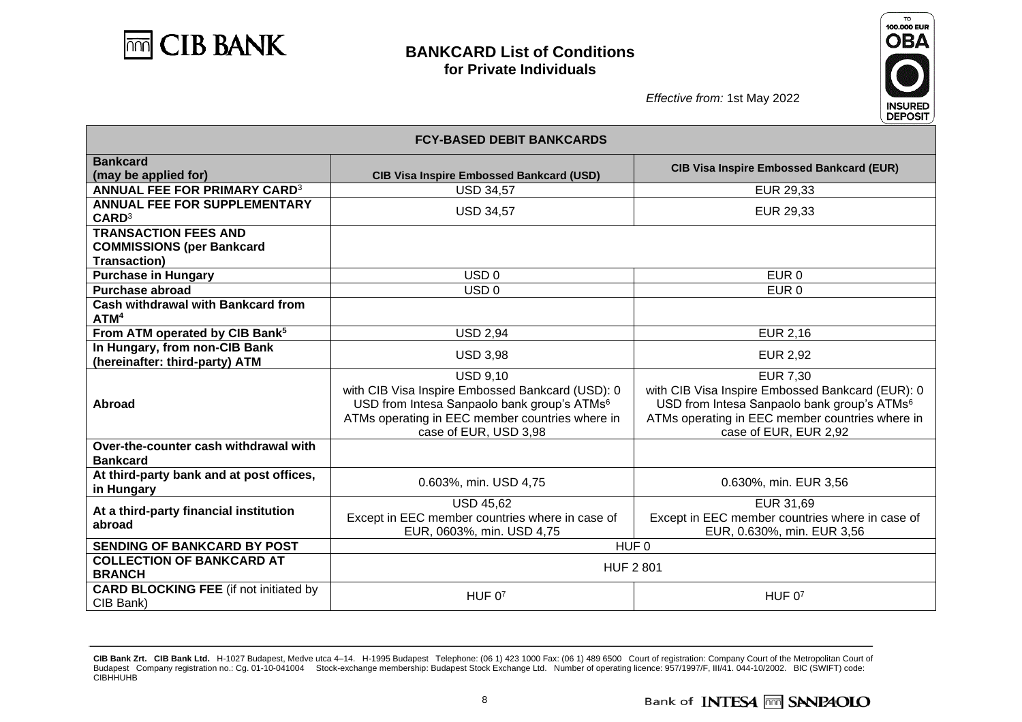



| <b>FCY-BASED DEBIT BANKCARDS</b>                                                       |                                                                                                                                                                                                            |                                                                                                                                                                                                            |  |
|----------------------------------------------------------------------------------------|------------------------------------------------------------------------------------------------------------------------------------------------------------------------------------------------------------|------------------------------------------------------------------------------------------------------------------------------------------------------------------------------------------------------------|--|
| <b>Bankcard</b><br>(may be applied for)                                                | <b>CIB Visa Inspire Embossed Bankcard (USD)</b>                                                                                                                                                            | <b>CIB Visa Inspire Embossed Bankcard (EUR)</b>                                                                                                                                                            |  |
| <b>ANNUAL FEE FOR PRIMARY CARD3</b>                                                    | <b>USD 34,57</b>                                                                                                                                                                                           | EUR 29,33                                                                                                                                                                                                  |  |
| ANNUAL FEE FOR SUPPLEMENTARY<br>CARD <sup>3</sup>                                      | <b>USD 34,57</b>                                                                                                                                                                                           | EUR 29,33                                                                                                                                                                                                  |  |
| <b>TRANSACTION FEES AND</b><br><b>COMMISSIONS (per Bankcard</b><br><b>Transaction)</b> |                                                                                                                                                                                                            |                                                                                                                                                                                                            |  |
| <b>Purchase in Hungary</b>                                                             | USD <sub>0</sub>                                                                                                                                                                                           | EUR <sub>0</sub>                                                                                                                                                                                           |  |
| <b>Purchase abroad</b>                                                                 | USD <sub>0</sub>                                                                                                                                                                                           | EUR <sub>0</sub>                                                                                                                                                                                           |  |
| <b>Cash withdrawal with Bankcard from</b><br>ATM <sup>4</sup>                          |                                                                                                                                                                                                            |                                                                                                                                                                                                            |  |
| From ATM operated by CIB Bank <sup>5</sup>                                             | <b>USD 2,94</b>                                                                                                                                                                                            | <b>EUR 2,16</b>                                                                                                                                                                                            |  |
| In Hungary, from non-CIB Bank<br>(hereinafter: third-party) ATM                        | <b>USD 3,98</b>                                                                                                                                                                                            | <b>EUR 2,92</b>                                                                                                                                                                                            |  |
| <b>Abroad</b>                                                                          | <b>USD 9.10</b><br>with CIB Visa Inspire Embossed Bankcard (USD): 0<br>USD from Intesa Sanpaolo bank group's ATMs <sup>6</sup><br>ATMs operating in EEC member countries where in<br>case of EUR, USD 3,98 | <b>EUR 7,30</b><br>with CIB Visa Inspire Embossed Bankcard (EUR): 0<br>USD from Intesa Sanpaolo bank group's ATMs <sup>6</sup><br>ATMs operating in EEC member countries where in<br>case of EUR, EUR 2,92 |  |
| Over-the-counter cash withdrawal with<br><b>Bankcard</b>                               |                                                                                                                                                                                                            |                                                                                                                                                                                                            |  |
| At third-party bank and at post offices,<br>in Hungary                                 | 0.603%, min. USD 4,75                                                                                                                                                                                      | 0.630%, min. EUR 3,56                                                                                                                                                                                      |  |
| At a third-party financial institution<br>abroad                                       | <b>USD 45,62</b><br>Except in EEC member countries where in case of<br>EUR, 0603%, min. USD 4,75                                                                                                           | EUR 31,69<br>Except in EEC member countries where in case of<br>EUR, 0.630%, min. EUR 3,56                                                                                                                 |  |
| SENDING OF BANKCARD BY POST                                                            |                                                                                                                                                                                                            | HUF <sub>0</sub>                                                                                                                                                                                           |  |
| <b>COLLECTION OF BANKCARD AT</b><br><b>BRANCH</b>                                      | <b>HUF 2 801</b>                                                                                                                                                                                           |                                                                                                                                                                                                            |  |
| <b>CARD BLOCKING FEE (if not initiated by</b><br>CIB Bank)                             | HUF $0^7$                                                                                                                                                                                                  | HUF $07$                                                                                                                                                                                                   |  |

**CIB Bank Zrt. CIB Bank Ltd.** H-1027 Budapest, Medve utca 4–14. H-1995 Budapest Telephone: (06 1) 423 1000 Fax: (06 1) 489 6500 Court of registration: Company Court of the Metropolitan Court of Budapest Company registration no.: Cg. 01-10-041004 Stock-exchange membership: Budapest Stock Exchange Ltd. Number of operating licence: 957/1997/F, III/41. 044-10/2002. BIC (SWIFT) code: CIBHHUHB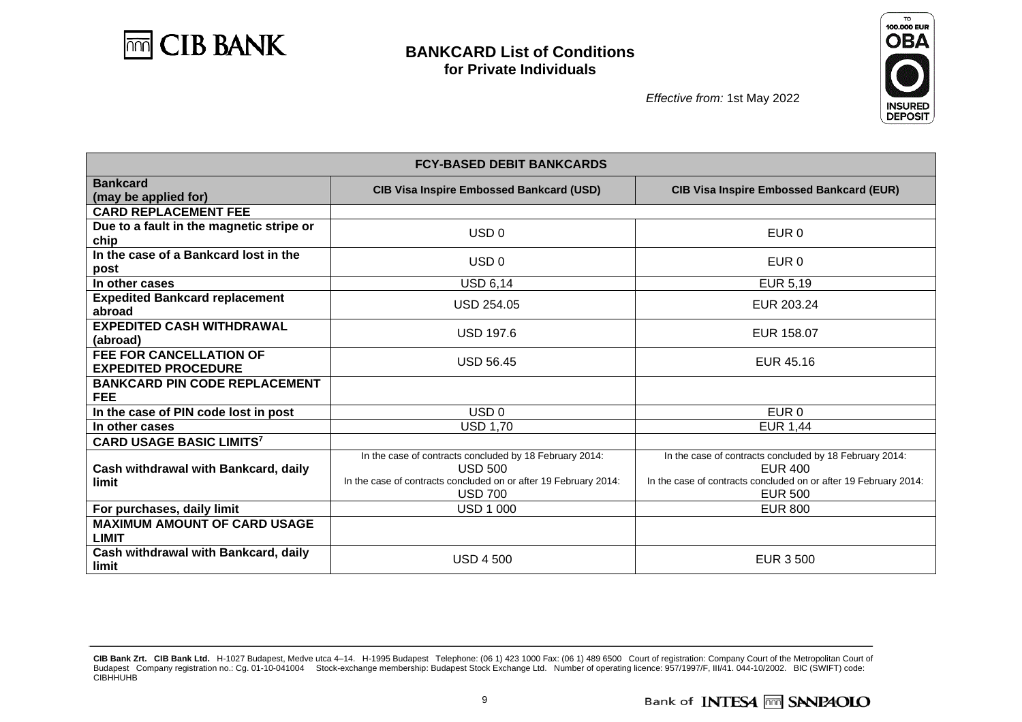



| <b>FCY-BASED DEBIT BANKCARDS</b>                             |                                                                                                                                                                 |                                                                                                                                                                 |  |  |
|--------------------------------------------------------------|-----------------------------------------------------------------------------------------------------------------------------------------------------------------|-----------------------------------------------------------------------------------------------------------------------------------------------------------------|--|--|
| <b>Bankcard</b><br>(may be applied for)                      | <b>CIB Visa Inspire Embossed Bankcard (USD)</b>                                                                                                                 | <b>CIB Visa Inspire Embossed Bankcard (EUR)</b>                                                                                                                 |  |  |
| <b>CARD REPLACEMENT FEE</b>                                  |                                                                                                                                                                 |                                                                                                                                                                 |  |  |
| Due to a fault in the magnetic stripe or<br>chip             | USD <sub>0</sub>                                                                                                                                                | EUR 0                                                                                                                                                           |  |  |
| In the case of a Bankcard lost in the<br>post                | USD <sub>0</sub>                                                                                                                                                | EUR 0                                                                                                                                                           |  |  |
| In other cases                                               | <b>USD 6,14</b>                                                                                                                                                 | <b>EUR 5,19</b>                                                                                                                                                 |  |  |
| <b>Expedited Bankcard replacement</b><br>abroad              | <b>USD 254.05</b>                                                                                                                                               | EUR 203.24                                                                                                                                                      |  |  |
| <b>EXPEDITED CASH WITHDRAWAL</b><br>(abroad)                 | <b>USD 197.6</b>                                                                                                                                                | EUR 158.07                                                                                                                                                      |  |  |
| <b>FEE FOR CANCELLATION OF</b><br><b>EXPEDITED PROCEDURE</b> | <b>USD 56.45</b>                                                                                                                                                | EUR 45.16                                                                                                                                                       |  |  |
| <b>BANKCARD PIN CODE REPLACEMENT</b><br><b>FEE</b>           |                                                                                                                                                                 |                                                                                                                                                                 |  |  |
| In the case of PIN code lost in post                         | USD <sub>0</sub>                                                                                                                                                | EUR <sub>0</sub>                                                                                                                                                |  |  |
| In other cases                                               | <b>USD 1,70</b>                                                                                                                                                 | <b>EUR 1,44</b>                                                                                                                                                 |  |  |
| <b>CARD USAGE BASIC LIMITS7</b>                              |                                                                                                                                                                 |                                                                                                                                                                 |  |  |
| Cash withdrawal with Bankcard, daily<br>limit                | In the case of contracts concluded by 18 February 2014:<br><b>USD 500</b><br>In the case of contracts concluded on or after 19 February 2014:<br><b>USD 700</b> | In the case of contracts concluded by 18 February 2014:<br><b>EUR 400</b><br>In the case of contracts concluded on or after 19 February 2014:<br><b>EUR 500</b> |  |  |
| For purchases, daily limit                                   | <b>USD 1 000</b>                                                                                                                                                | <b>EUR 800</b>                                                                                                                                                  |  |  |
| <b>MAXIMUM AMOUNT OF CARD USAGE</b><br><b>LIMIT</b>          |                                                                                                                                                                 |                                                                                                                                                                 |  |  |
| Cash withdrawal with Bankcard, daily<br>limit                | <b>USD 4 500</b>                                                                                                                                                | EUR 3 500                                                                                                                                                       |  |  |

**CIB Bank Zrt. CIB Bank Ltd.** H-1027 Budapest, Medve utca 4–14. H-1995 Budapest Telephone: (06 1) 423 1000 Fax: (06 1) 489 6500 Court of registration: Company Court of the Metropolitan Court of Budapest Company registration no.: Cg. 01-10-041004 Stock-exchange membership: Budapest Stock Exchange Ltd. Number of operating licence: 957/1997/F, III/41. 044-10/2002. BIC (SWIFT) code: CIBHHUHB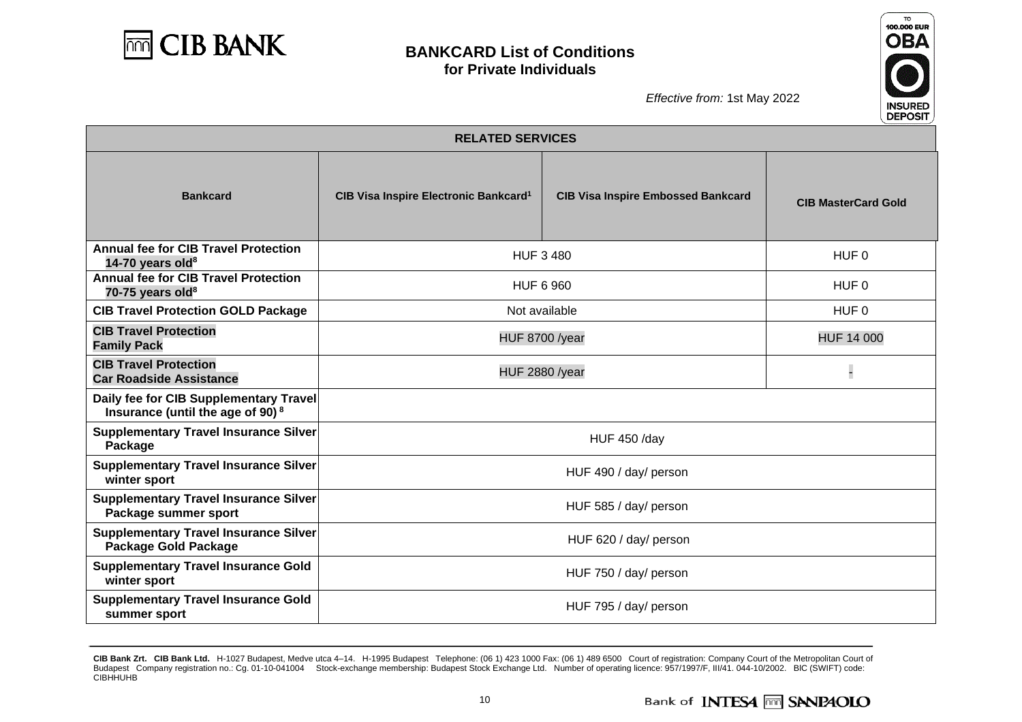



| <b>RELATED SERVICES</b>                                                                |                                                                                                |                       |                            |  |
|----------------------------------------------------------------------------------------|------------------------------------------------------------------------------------------------|-----------------------|----------------------------|--|
| <b>Bankcard</b>                                                                        | CIB Visa Inspire Electronic Bankcard <sup>1</sup><br><b>CIB Visa Inspire Embossed Bankcard</b> |                       | <b>CIB MasterCard Gold</b> |  |
| <b>Annual fee for CIB Travel Protection</b><br>14-70 years old <sup>8</sup>            |                                                                                                | <b>HUF 3 480</b>      | HUF 0                      |  |
| <b>Annual fee for CIB Travel Protection</b><br>70-75 years old $8$                     |                                                                                                | <b>HUF 6 960</b>      | HUF 0                      |  |
| <b>CIB Travel Protection GOLD Package</b>                                              |                                                                                                | Not available         | HUF <sub>0</sub>           |  |
| <b>CIB Travel Protection</b><br><b>Family Pack</b>                                     | <b>HUF 8700 /year</b>                                                                          |                       | <b>HUF 14 000</b>          |  |
| <b>CIB Travel Protection</b><br><b>Car Roadside Assistance</b>                         | <b>HUF 2880 /year</b>                                                                          |                       |                            |  |
| Daily fee for CIB Supplementary Travel<br>Insurance (until the age of 90) <sup>8</sup> |                                                                                                |                       |                            |  |
| <b>Supplementary Travel Insurance Silver</b><br>Package                                | <b>HUF 450 /day</b>                                                                            |                       |                            |  |
| <b>Supplementary Travel Insurance Silver</b><br>winter sport                           | HUF 490 / day/ person                                                                          |                       |                            |  |
| <b>Supplementary Travel Insurance Silver</b><br>Package summer sport                   | HUF 585 / day/ person                                                                          |                       |                            |  |
| <b>Supplementary Travel Insurance Silver</b><br><b>Package Gold Package</b>            | HUF 620 / day/ person                                                                          |                       |                            |  |
| <b>Supplementary Travel Insurance Gold</b><br>winter sport                             | HUF 750 / day/ person                                                                          |                       |                            |  |
| <b>Supplementary Travel Insurance Gold</b><br>summer sport                             |                                                                                                | HUF 795 / day/ person |                            |  |

**CIB Bank Zrt. CIB Bank Ltd.** H-1027 Budapest, Medve utca 4–14. H-1995 Budapest Telephone: (06 1) 423 1000 Fax: (06 1) 489 6500 Court of registration: Company Court of the Metropolitan Court of Budapest Company registration no.: Cg. 01-10-041004 Stock-exchange membership: Budapest Stock Exchange Ltd. Number of operating licence: 957/1997/F, III/41. 044-10/2002. BIC (SWIFT) code: CIBHHUHB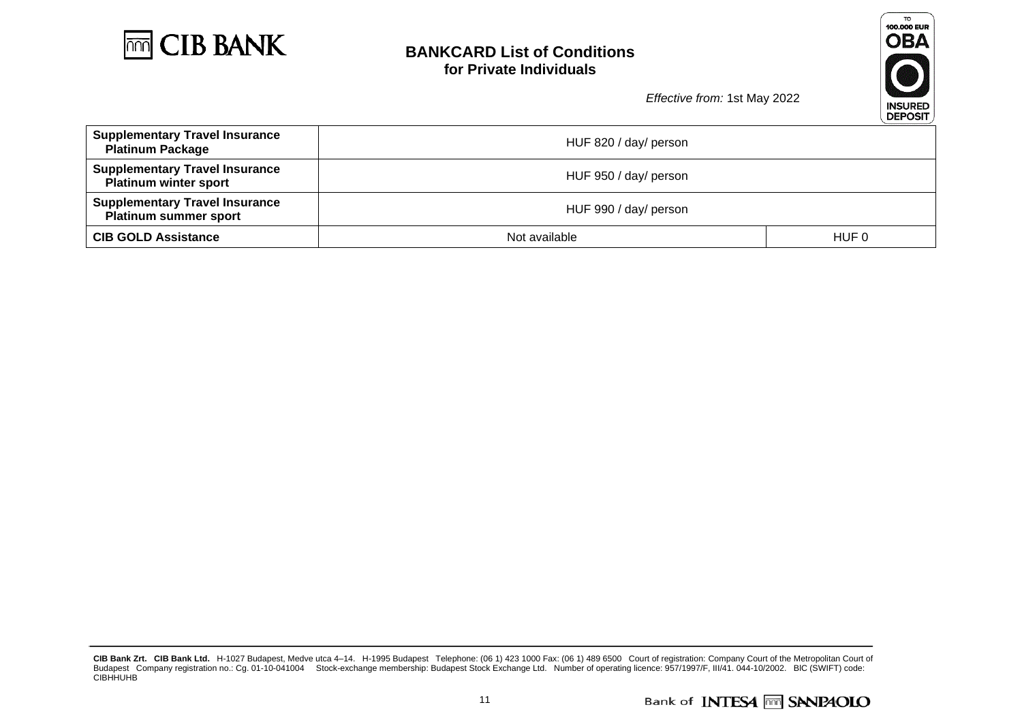



|                                                                       |                       | -- - - - |  |
|-----------------------------------------------------------------------|-----------------------|----------|--|
| <b>Supplementary Travel Insurance</b><br><b>Platinum Package</b>      | HUF 820 / day/ person |          |  |
| <b>Supplementary Travel Insurance</b><br><b>Platinum winter sport</b> | HUF 950 / day/ person |          |  |
| <b>Supplementary Travel Insurance</b><br><b>Platinum summer sport</b> | HUF 990 / day/ person |          |  |
| <b>CIB GOLD Assistance</b>                                            | Not available         | HUF 0    |  |

**CIB Bank Zrt. CIB Bank Ltd.** H-1027 Budapest, Medve utca 4–14. H-1995 Budapest Telephone: (06 1) 423 1000 Fax: (06 1) 489 6500 Court of registration: Company Court of the Metropolitan Court of Budapest Company registration no.: Cg. 01-10-041004 Stock-exchange membership: Budapest Stock Exchange Ltd. Number of operating licence: 957/1997/F, III/41. 044-10/2002. BIC (SWIFT) code: CIBHHUHB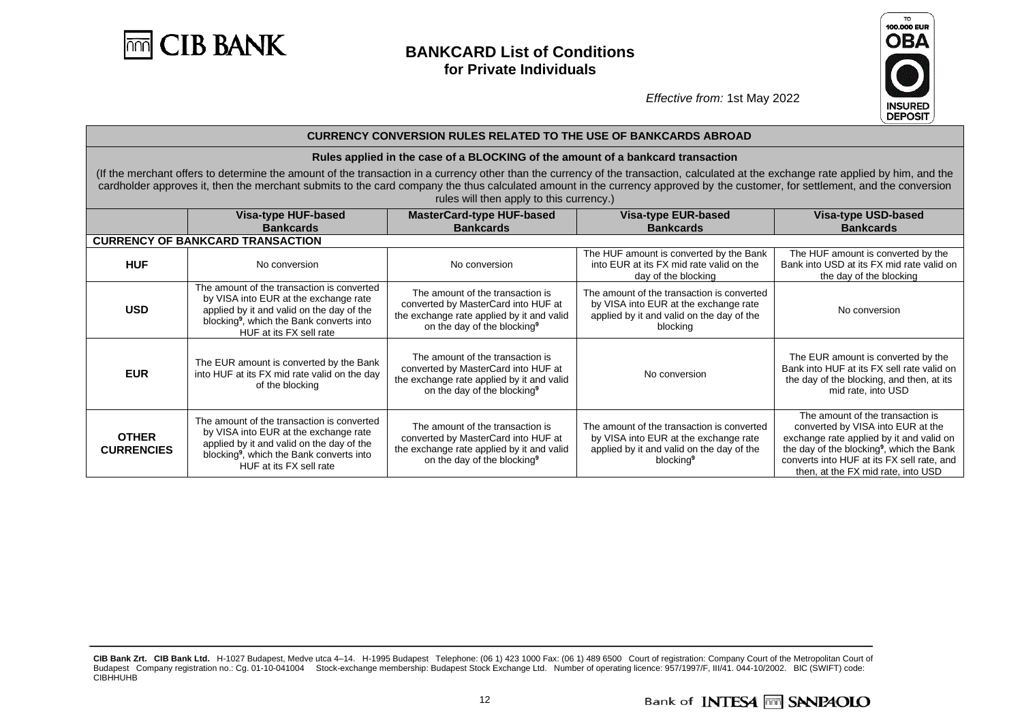



|                                   | <b>CURRENCY CONVERSION RULES RELATED TO THE USE OF BANKCARDS ABROAD</b>                                                                                                                                                                                                                                                                                                                                           |                                                                                                                                                                 |                                                                                                                                                           |                                                                                                                                                                                                                                                                |  |  |  |
|-----------------------------------|-------------------------------------------------------------------------------------------------------------------------------------------------------------------------------------------------------------------------------------------------------------------------------------------------------------------------------------------------------------------------------------------------------------------|-----------------------------------------------------------------------------------------------------------------------------------------------------------------|-----------------------------------------------------------------------------------------------------------------------------------------------------------|----------------------------------------------------------------------------------------------------------------------------------------------------------------------------------------------------------------------------------------------------------------|--|--|--|
|                                   |                                                                                                                                                                                                                                                                                                                                                                                                                   | Rules applied in the case of a BLOCKING of the amount of a bankcard transaction                                                                                 |                                                                                                                                                           |                                                                                                                                                                                                                                                                |  |  |  |
|                                   | (If the merchant offers to determine the amount of the transaction in a currency other than the currency of the transaction, calculated at the exchange rate applied by him, and the<br>cardholder approves it, then the merchant submits to the card company the thus calculated amount in the currency approved by the customer, for settlement, and the conversion<br>rules will then apply to this currency.) |                                                                                                                                                                 |                                                                                                                                                           |                                                                                                                                                                                                                                                                |  |  |  |
|                                   | Visa-type HUF-based                                                                                                                                                                                                                                                                                                                                                                                               | <b>MasterCard-type HUF-based</b>                                                                                                                                | Visa-type EUR-based                                                                                                                                       | <b>Visa-type USD-based</b>                                                                                                                                                                                                                                     |  |  |  |
|                                   | <b>Bankcards</b><br><b>CURRENCY OF BANKCARD TRANSACTION</b>                                                                                                                                                                                                                                                                                                                                                       | <b>Bankcards</b>                                                                                                                                                | <b>Bankcards</b>                                                                                                                                          | <b>Bankcards</b>                                                                                                                                                                                                                                               |  |  |  |
| <b>HUF</b>                        | No conversion                                                                                                                                                                                                                                                                                                                                                                                                     | No conversion                                                                                                                                                   | The HUF amount is converted by the Bank<br>into EUR at its FX mid rate valid on the<br>day of the blocking                                                | The HUF amount is converted by the<br>Bank into USD at its FX mid rate valid on<br>the day of the blocking                                                                                                                                                     |  |  |  |
| <b>USD</b>                        | The amount of the transaction is converted<br>by VISA into EUR at the exchange rate<br>applied by it and valid on the day of the<br>blocking <sup>9</sup> , which the Bank converts into<br>HUF at its FX sell rate                                                                                                                                                                                               | The amount of the transaction is<br>converted by MasterCard into HUF at<br>the exchange rate applied by it and valid<br>on the day of the blocking <sup>9</sup> | The amount of the transaction is converted<br>by VISA into EUR at the exchange rate<br>applied by it and valid on the day of the<br>blocking              | No conversion                                                                                                                                                                                                                                                  |  |  |  |
| <b>EUR</b>                        | The EUR amount is converted by the Bank<br>into HUF at its FX mid rate valid on the day<br>of the blocking                                                                                                                                                                                                                                                                                                        | The amount of the transaction is<br>converted by MasterCard into HUF at<br>the exchange rate applied by it and valid<br>on the day of the blocking <sup>9</sup> | No conversion                                                                                                                                             | The EUR amount is converted by the<br>Bank into HUF at its FX sell rate valid on<br>the day of the blocking, and then, at its<br>mid rate, into USD                                                                                                            |  |  |  |
| <b>OTHER</b><br><b>CURRENCIES</b> | The amount of the transaction is converted<br>by VISA into EUR at the exchange rate<br>applied by it and valid on the day of the<br>blocking <sup>9</sup> , which the Bank converts into<br>HUF at its FX sell rate                                                                                                                                                                                               | The amount of the transaction is<br>converted by MasterCard into HUF at<br>the exchange rate applied by it and valid<br>on the day of the blocking <sup>9</sup> | The amount of the transaction is converted<br>by VISA into EUR at the exchange rate<br>applied by it and valid on the day of the<br>blocking <sup>9</sup> | The amount of the transaction is<br>converted by VISA into EUR at the<br>exchange rate applied by it and valid on<br>the day of the blocking <sup>9</sup> , which the Bank<br>converts into HUF at its FX sell rate, and<br>then, at the FX mid rate, into USD |  |  |  |

**CIB Bank Zrt. CIB Bank Ltd.** H-1027 Budapest, Medve utca 4–14. H-1995 Budapest Telephone: (06 1) 423 1000 Fax: (06 1) 489 6500 Court of registration: Company Court of the Metropolitan Court of Budapest Company registration no.: Cg. 01-10-041004 Stock-exchange membership: Budapest Stock Exchange Ltd. Number of operating licence: 957/1997/F, III/41. 044-10/2002. BIC (SWIFT) code: CIBHHUHB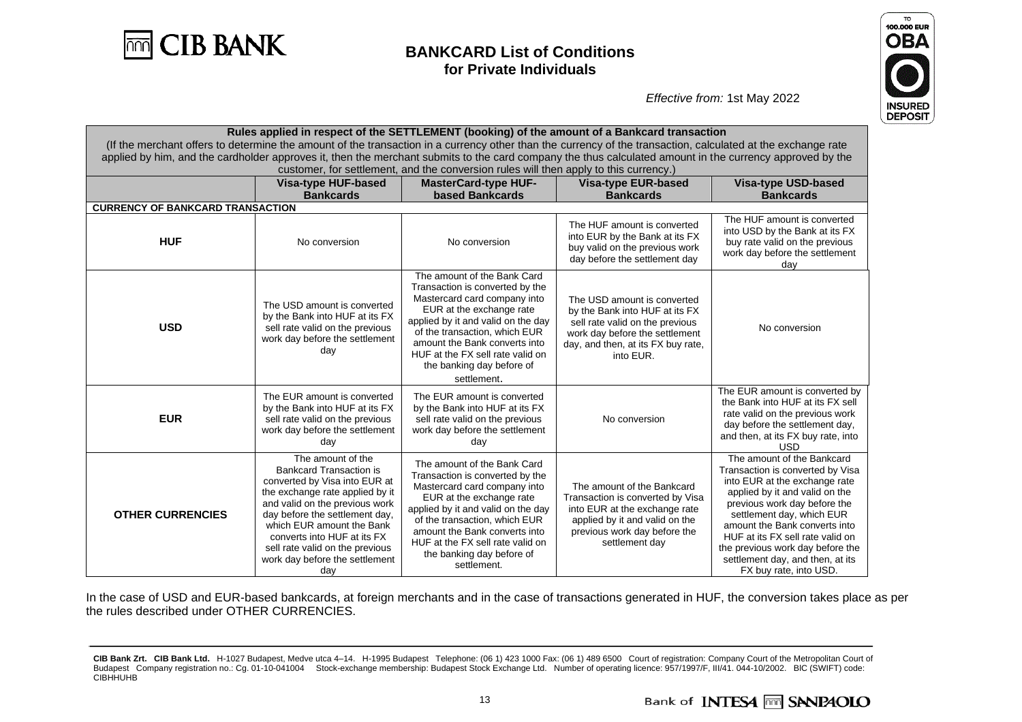



*Effective from:* 1st May 2022

| Rules applied in respect of the SETTLEMENT (booking) of the amount of a Bankcard transaction                                                                 |                                                                                                                                                                                                                                                                                                                                     |                                                                                                                                                                                                                                                                                                                    |                                                                                                                                                                                       |                                                                                                                                                                                                                                                                                                                                                                       |  |  |  |
|--------------------------------------------------------------------------------------------------------------------------------------------------------------|-------------------------------------------------------------------------------------------------------------------------------------------------------------------------------------------------------------------------------------------------------------------------------------------------------------------------------------|--------------------------------------------------------------------------------------------------------------------------------------------------------------------------------------------------------------------------------------------------------------------------------------------------------------------|---------------------------------------------------------------------------------------------------------------------------------------------------------------------------------------|-----------------------------------------------------------------------------------------------------------------------------------------------------------------------------------------------------------------------------------------------------------------------------------------------------------------------------------------------------------------------|--|--|--|
| (If the merchant offers to determine the amount of the transaction in a currency other than the currency of the transaction, calculated at the exchange rate |                                                                                                                                                                                                                                                                                                                                     |                                                                                                                                                                                                                                                                                                                    |                                                                                                                                                                                       |                                                                                                                                                                                                                                                                                                                                                                       |  |  |  |
| applied by him, and the cardholder approves it, then the merchant submits to the card company the thus calculated amount in the currency approved by the     |                                                                                                                                                                                                                                                                                                                                     |                                                                                                                                                                                                                                                                                                                    |                                                                                                                                                                                       |                                                                                                                                                                                                                                                                                                                                                                       |  |  |  |
| customer, for settlement, and the conversion rules will then apply to this currency.)                                                                        |                                                                                                                                                                                                                                                                                                                                     |                                                                                                                                                                                                                                                                                                                    |                                                                                                                                                                                       |                                                                                                                                                                                                                                                                                                                                                                       |  |  |  |
|                                                                                                                                                              | <b>Visa-type HUF-based</b>                                                                                                                                                                                                                                                                                                          | <b>MasterCard-type HUF-</b>                                                                                                                                                                                                                                                                                        | <b>Visa-type EUR-based</b>                                                                                                                                                            | <b>Visa-type USD-based</b>                                                                                                                                                                                                                                                                                                                                            |  |  |  |
|                                                                                                                                                              | <b>Bankcards</b>                                                                                                                                                                                                                                                                                                                    | based Bankcards                                                                                                                                                                                                                                                                                                    | <b>Bankcards</b>                                                                                                                                                                      | <b>Bankcards</b>                                                                                                                                                                                                                                                                                                                                                      |  |  |  |
| <b>CURRENCY OF BANKCARD TRANSACTION</b>                                                                                                                      |                                                                                                                                                                                                                                                                                                                                     |                                                                                                                                                                                                                                                                                                                    |                                                                                                                                                                                       |                                                                                                                                                                                                                                                                                                                                                                       |  |  |  |
| <b>HUF</b>                                                                                                                                                   | No conversion                                                                                                                                                                                                                                                                                                                       | No conversion                                                                                                                                                                                                                                                                                                      | The HUF amount is converted<br>into EUR by the Bank at its FX<br>buy valid on the previous work<br>day before the settlement day                                                      | The HUF amount is converted<br>into USD by the Bank at its FX<br>buy rate valid on the previous<br>work day before the settlement<br>day                                                                                                                                                                                                                              |  |  |  |
| <b>USD</b>                                                                                                                                                   | The USD amount is converted<br>by the Bank into HUF at its FX<br>sell rate valid on the previous<br>work day before the settlement<br>day                                                                                                                                                                                           | The amount of the Bank Card<br>Transaction is converted by the<br>Mastercard card company into<br>EUR at the exchange rate<br>applied by it and valid on the day<br>of the transaction, which EUR<br>amount the Bank converts into<br>HUF at the FX sell rate valid on<br>the banking day before of<br>settlement. | The USD amount is converted<br>by the Bank into HUF at its FX<br>sell rate valid on the previous<br>work day before the settlement<br>day, and then, at its FX buy rate,<br>into EUR. | No conversion                                                                                                                                                                                                                                                                                                                                                         |  |  |  |
| <b>EUR</b>                                                                                                                                                   | The EUR amount is converted<br>by the Bank into HUF at its FX<br>sell rate valid on the previous<br>work day before the settlement<br>day                                                                                                                                                                                           | The EUR amount is converted<br>by the Bank into HUF at its FX<br>sell rate valid on the previous<br>work day before the settlement<br>day                                                                                                                                                                          | No conversion                                                                                                                                                                         | The EUR amount is converted by<br>the Bank into HUF at its FX sell<br>rate valid on the previous work<br>day before the settlement day,<br>and then, at its FX buy rate, into<br><b>USD</b>                                                                                                                                                                           |  |  |  |
| <b>OTHER CURRENCIES</b>                                                                                                                                      | The amount of the<br><b>Bankcard Transaction is</b><br>converted by Visa into EUR at<br>the exchange rate applied by it<br>and valid on the previous work<br>day before the settlement day,<br>which EUR amount the Bank<br>converts into HUF at its FX<br>sell rate valid on the previous<br>work day before the settlement<br>day | The amount of the Bank Card<br>Transaction is converted by the<br>Mastercard card company into<br>EUR at the exchange rate<br>applied by it and valid on the day<br>of the transaction, which EUR<br>amount the Bank converts into<br>HUF at the FX sell rate valid on<br>the banking day before of<br>settlement. | The amount of the Bankcard<br>Transaction is converted by Visa<br>into EUR at the exchange rate<br>applied by it and valid on the<br>previous work day before the<br>settlement day   | The amount of the Bankcard<br>Transaction is converted by Visa<br>into EUR at the exchange rate<br>applied by it and valid on the<br>previous work day before the<br>settlement day, which EUR<br>amount the Bank converts into<br>HUF at its FX sell rate valid on<br>the previous work day before the<br>settlement day, and then, at its<br>FX buy rate, into USD. |  |  |  |

In the case of USD and EUR-based bankcards, at foreign merchants and in the case of transactions generated in HUF, the conversion takes place as per the rules described under OTHER CURRENCIES.

**CIB Bank Zrt. CIB Bank Ltd.** H-1027 Budapest, Medve utca 4–14. H-1995 Budapest Telephone: (06 1) 423 1000 Fax: (06 1) 489 6500 Court of registration: Company Court of the Metropolitan Court of Budapest Company registration no.: Cg. 01-10-041004 Stock-exchange membership: Budapest Stock Exchange Ltd. Number of operating licence: 957/1997/F, III/41. 044-10/2002. BIC (SWIFT) code: CIBHHUHB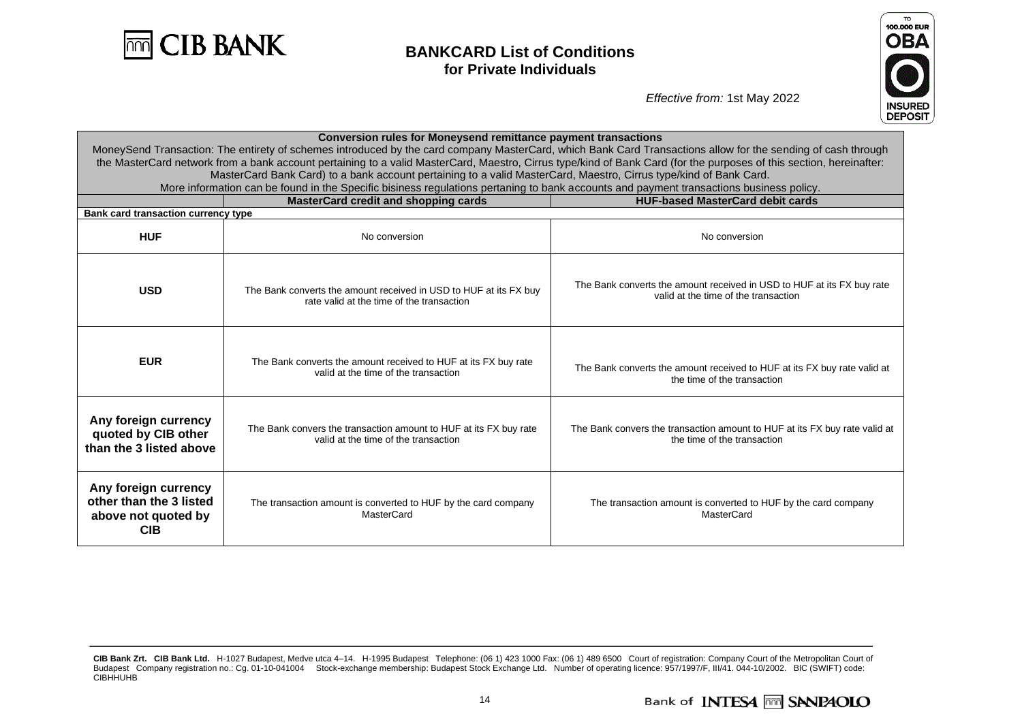



| <b>Conversion rules for Moneysend remittance payment transactions</b><br>MoneySend Transaction: The entirety of schemes introduced by the card company MasterCard, which Bank Card Transactions allow for the sending of cash through                        |                                                                                                                |                                                                                                                |  |  |  |  |
|--------------------------------------------------------------------------------------------------------------------------------------------------------------------------------------------------------------------------------------------------------------|----------------------------------------------------------------------------------------------------------------|----------------------------------------------------------------------------------------------------------------|--|--|--|--|
| the MasterCard network from a bank account pertaining to a valid MasterCard, Maestro, Cirrus type/kind of Bank Card (for the purposes of this section, hereinafter:                                                                                          |                                                                                                                |                                                                                                                |  |  |  |  |
| MasterCard Bank Card) to a bank account pertaining to a valid MasterCard, Maestro, Cirrus type/kind of Bank Card.<br>More information can be found in the Specific bisiness regulations pertaning to bank accounts and payment transactions business policy. |                                                                                                                |                                                                                                                |  |  |  |  |
|                                                                                                                                                                                                                                                              | <b>MasterCard credit and shopping cards</b>                                                                    | <b>HUF-based MasterCard debit cards</b>                                                                        |  |  |  |  |
| Bank card transaction currency type                                                                                                                                                                                                                          |                                                                                                                |                                                                                                                |  |  |  |  |
| <b>HUF</b>                                                                                                                                                                                                                                                   | No conversion                                                                                                  | No conversion                                                                                                  |  |  |  |  |
| <b>USD</b>                                                                                                                                                                                                                                                   | The Bank converts the amount received in USD to HUF at its FX buy<br>rate valid at the time of the transaction | The Bank converts the amount received in USD to HUF at its FX buy rate<br>valid at the time of the transaction |  |  |  |  |
| <b>EUR</b>                                                                                                                                                                                                                                                   | The Bank converts the amount received to HUF at its FX buy rate<br>valid at the time of the transaction        | The Bank converts the amount received to HUF at its FX buy rate valid at<br>the time of the transaction        |  |  |  |  |
| Any foreign currency<br>quoted by CIB other<br>than the 3 listed above                                                                                                                                                                                       | The Bank convers the transaction amount to HUF at its FX buy rate<br>valid at the time of the transaction      | The Bank convers the transaction amount to HUF at its FX buy rate valid at<br>the time of the transaction      |  |  |  |  |
| Any foreign currency<br>other than the 3 listed<br>The transaction amount is converted to HUF by the card company<br><b>MasterCard</b><br>above not quoted by<br><b>CIB</b>                                                                                  |                                                                                                                | The transaction amount is converted to HUF by the card company<br>MasterCard                                   |  |  |  |  |

**CIB Bank Zrt. CIB Bank Ltd.** H-1027 Budapest, Medve utca 4–14. H-1995 Budapest Telephone: (06 1) 423 1000 Fax: (06 1) 489 6500 Court of registration: Company Court of the Metropolitan Court of Budapest Company registration no.: Cg. 01-10-041004 Stock-exchange membership: Budapest Stock Exchange Ltd. Number of operating licence: 957/1997/F, III/41. 044-10/2002. BIC (SWIFT) code: CIBHHUHB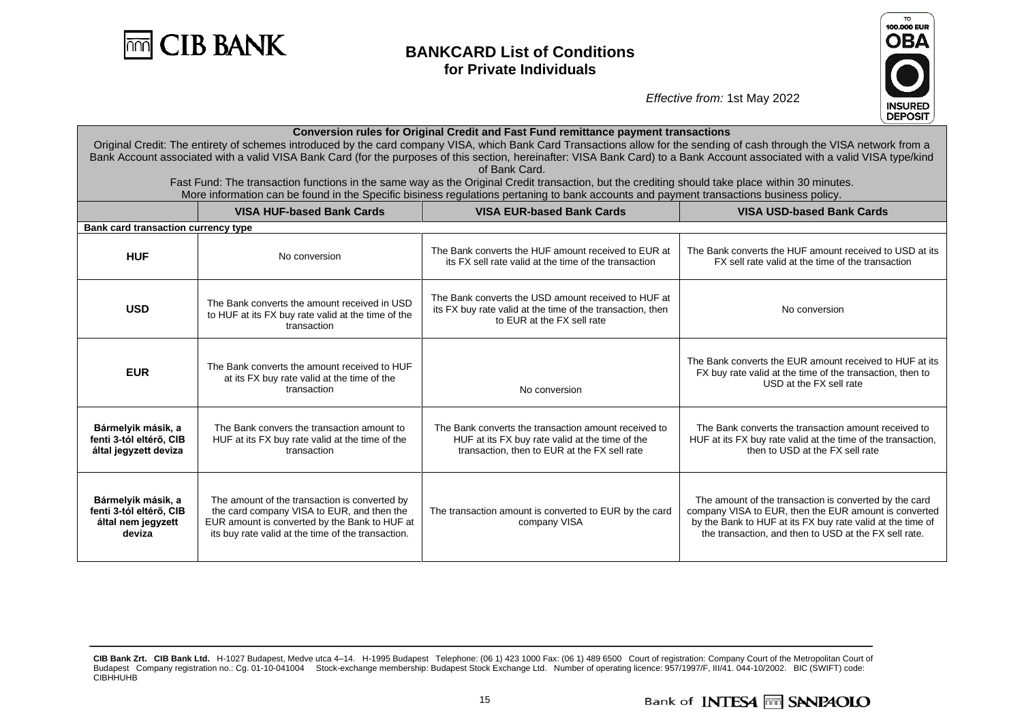



| <b>Conversion rules for Original Credit and Fast Fund remittance payment transactions</b><br>Original Credit: The entirety of schemes introduced by the card company VISA, which Bank Card Transactions allow for the sending of cash through the VISA network from a<br>Bank Account associated with a valid VISA Bank Card (for the purposes of this section, hereinafter: VISA Bank Card) to a Bank Account associated with a valid VISA type/kind |                                                                                                                                                                                                    |                                                                                                                                                         |                                                                                                                                                                                                                                        |  |  |  |  |
|-------------------------------------------------------------------------------------------------------------------------------------------------------------------------------------------------------------------------------------------------------------------------------------------------------------------------------------------------------------------------------------------------------------------------------------------------------|----------------------------------------------------------------------------------------------------------------------------------------------------------------------------------------------------|---------------------------------------------------------------------------------------------------------------------------------------------------------|----------------------------------------------------------------------------------------------------------------------------------------------------------------------------------------------------------------------------------------|--|--|--|--|
| of Bank Card.<br>Fast Fund: The transaction functions in the same way as the Original Credit transaction, but the crediting should take place within 30 minutes.<br>More information can be found in the Specific bisiness regulations pertaning to bank accounts and payment transactions business policy.                                                                                                                                           |                                                                                                                                                                                                    |                                                                                                                                                         |                                                                                                                                                                                                                                        |  |  |  |  |
|                                                                                                                                                                                                                                                                                                                                                                                                                                                       | <b>VISA HUF-based Bank Cards</b>                                                                                                                                                                   | <b>VISA EUR-based Bank Cards</b>                                                                                                                        | <b>VISA USD-based Bank Cards</b>                                                                                                                                                                                                       |  |  |  |  |
| Bank card transaction currency type                                                                                                                                                                                                                                                                                                                                                                                                                   |                                                                                                                                                                                                    |                                                                                                                                                         |                                                                                                                                                                                                                                        |  |  |  |  |
| <b>HUF</b>                                                                                                                                                                                                                                                                                                                                                                                                                                            | No conversion                                                                                                                                                                                      | The Bank converts the HUF amount received to EUR at<br>its FX sell rate valid at the time of the transaction                                            | The Bank converts the HUF amount received to USD at its<br>FX sell rate valid at the time of the transaction                                                                                                                           |  |  |  |  |
| <b>USD</b>                                                                                                                                                                                                                                                                                                                                                                                                                                            | The Bank converts the amount received in USD<br>to HUF at its FX buy rate valid at the time of the<br>transaction                                                                                  | The Bank converts the USD amount received to HUF at<br>its FX buy rate valid at the time of the transaction, then<br>to EUR at the FX sell rate         | No conversion                                                                                                                                                                                                                          |  |  |  |  |
| <b>EUR</b>                                                                                                                                                                                                                                                                                                                                                                                                                                            | The Bank converts the amount received to HUF<br>at its FX buy rate valid at the time of the<br>transaction                                                                                         | No conversion                                                                                                                                           | The Bank converts the EUR amount received to HUF at its<br>FX buy rate valid at the time of the transaction, then to<br>USD at the FX sell rate                                                                                        |  |  |  |  |
| Bármelyik másik, a<br>fenti 3-tól eltérő, CIB<br>által jegyzett deviza                                                                                                                                                                                                                                                                                                                                                                                | The Bank convers the transaction amount to<br>HUF at its FX buy rate valid at the time of the<br>transaction                                                                                       | The Bank converts the transaction amount received to<br>HUF at its FX buy rate valid at the time of the<br>transaction, then to EUR at the FX sell rate | The Bank converts the transaction amount received to<br>HUF at its FX buy rate valid at the time of the transaction,<br>then to USD at the FX sell rate                                                                                |  |  |  |  |
| Bármelyik másik, a<br>fenti 3-tól eltérő, CIB<br>által nem jegyzett<br>deviza                                                                                                                                                                                                                                                                                                                                                                         | The amount of the transaction is converted by<br>the card company VISA to EUR, and then the<br>EUR amount is converted by the Bank to HUF at<br>its buy rate valid at the time of the transaction. | The transaction amount is converted to EUR by the card<br>company VISA                                                                                  | The amount of the transaction is converted by the card<br>company VISA to EUR, then the EUR amount is converted<br>by the Bank to HUF at its FX buy rate valid at the time of<br>the transaction, and then to USD at the FX sell rate. |  |  |  |  |

**CIB Bank Zrt. CIB Bank Ltd.** H-1027 Budapest, Medve utca 4–14. H-1995 Budapest Telephone: (06 1) 423 1000 Fax: (06 1) 489 6500 Court of registration: Company Court of the Metropolitan Court of Budapest Company registration no.: Cg. 01-10-041004 Stock-exchange membership: Budapest Stock Exchange Ltd. Number of operating licence: 957/1997/F, III/41. 044-10/2002. BIC (SWIFT) code: CIBHHUHB